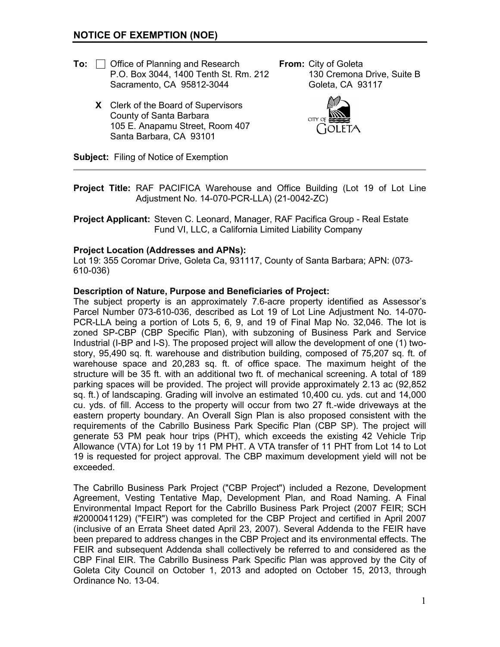- **To:** □ Office of Planning and Research **From:** City of Goleta P.O. Box 3044, 1400 Tenth St. Rm. 212 130 Cremona Drive, Suite B Sacramento, CA 95812-3044 Goleta, CA 93117
	- **X** Clerk of the Board of Supervisors County of Santa Barbara 105 E. Anapamu Street, Room 407 Santa Barbara, CA 93101



**Subject:** Filing of Notice of Exemption

- **Project Title:** RAF PACIFICA Warehouse and Office Building (Lot 19 of Lot Line Adjustment No. 14-070-PCR-LLA) (21-0042-ZC)
- **Project Applicant:** Steven C. Leonard, Manager, RAF Pacifica Group Real Estate Fund VI, LLC, a California Limited Liability Company

### **Project Location (Addresses and APNs):**

Lot 19: 355 Coromar Drive, Goleta Ca, 931117, County of Santa Barbara; APN: (073- 610-036)

### **Description of Nature, Purpose and Beneficiaries of Project:**

The subject property is an approximately 7.6-acre property identified as Assessor's Parcel Number 073-610-036, described as Lot 19 of Lot Line Adjustment No. 14-070- PCR-LLA being a portion of Lots 5, 6, 9, and 19 of Final Map No. 32,046. The lot is zoned SP-CBP (CBP Specific Plan), with subzoning of Business Park and Service Industrial (I-BP and I-S). The proposed project will allow the development of one (1) twostory, 95,490 sq. ft. warehouse and distribution building, composed of 75,207 sq. ft. of warehouse space and 20,283 sq. ft. of office space. The maximum height of the structure will be 35 ft. with an additional two ft. of mechanical screening. A total of 189 parking spaces will be provided. The project will provide approximately 2.13 ac (92,852 sq. ft.) of landscaping. Grading will involve an estimated 10,400 cu. yds. cut and 14,000 cu. yds. of fill. Access to the property will occur from two 27 ft.-wide driveways at the eastern property boundary. An Overall Sign Plan is also proposed consistent with the requirements of the Cabrillo Business Park Specific Plan (CBP SP). The project will generate 53 PM peak hour trips (PHT), which exceeds the existing 42 Vehicle Trip Allowance (VTA) for Lot 19 by 11 PM PHT. A VTA transfer of 11 PHT from Lot 14 to Lot 19 is requested for project approval. The CBP maximum development yield will not be exceeded.

The Cabrillo Business Park Project ("CBP Project") included a Rezone, Development Agreement, Vesting Tentative Map, Development Plan, and Road Naming. A Final Environmental Impact Report for the Cabrillo Business Park Project (2007 FEIR; SCH #2000041129) ("FEIR") was completed for the CBP Project and certified in April 2007 (inclusive of an Errata Sheet dated April 23, 2007). Several Addenda to the FEIR have been prepared to address changes in the CBP Project and its environmental effects. The FEIR and subsequent Addenda shall collectively be referred to and considered as the CBP Final EIR. The Cabrillo Business Park Specific Plan was approved by the City of Goleta City Council on October 1, 2013 and adopted on October 15, 2013, through Ordinance No. 13-04.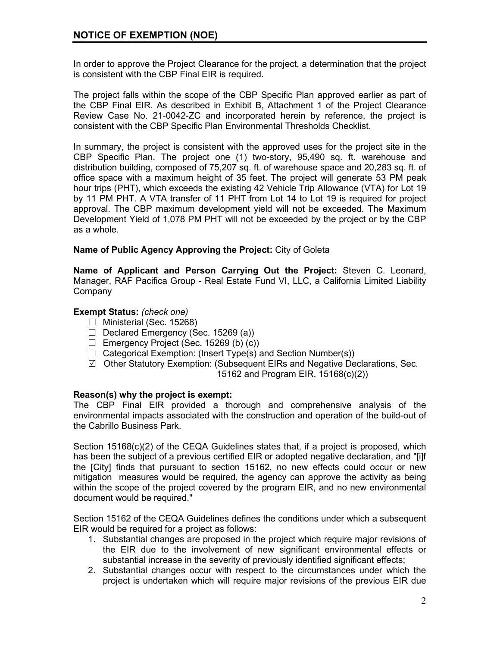In order to approve the Project Clearance for the project, a determination that the project is consistent with the CBP Final EIR is required.

The project falls within the scope of the CBP Specific Plan approved earlier as part of the CBP Final EIR. As described in Exhibit B, Attachment 1 of the Project Clearance Review Case No. 21-0042-ZC and incorporated herein by reference, the project is consistent with the CBP Specific Plan Environmental Thresholds Checklist.

In summary, the project is consistent with the approved uses for the project site in the CBP Specific Plan. The project one (1) two-story, 95,490 sq. ft. warehouse and distribution building, composed of 75,207 sq. ft. of warehouse space and 20,283 sq. ft. of office space with a maximum height of 35 feet. The project will generate 53 PM peak hour trips (PHT), which exceeds the existing 42 Vehicle Trip Allowance (VTA) for Lot 19 by 11 PM PHT. A VTA transfer of 11 PHT from Lot 14 to Lot 19 is required for project approval. The CBP maximum development yield will not be exceeded. The Maximum Development Yield of 1,078 PM PHT will not be exceeded by the project or by the CBP as a whole.

# **Name of Public Agency Approving the Project:** City of Goleta

**Name of Applicant and Person Carrying Out the Project:** Steven C. Leonard, Manager, RAF Pacifica Group - Real Estate Fund VI, LLC, a California Limited Liability **Company** 

## **Exempt Status:** *(check one)*

- □ Ministerial (Sec. 15268)
- $\Box$  Declared Emergency (Sec. 15269 (a))
- $\Box$  Emergency Project (Sec. 15269 (b) (c))
- $\Box$  Categorical Exemption: (Insert Type(s) and Section Number(s))
- $\boxtimes$  Other Statutory Exemption: (Subsequent EIRs and Negative Declarations, Sec. 15162 and Program EIR, 15168(c)(2))

## **Reason(s) why the project is exempt:**

The CBP Final EIR provided a thorough and comprehensive analysis of the environmental impacts associated with the construction and operation of the build-out of the Cabrillo Business Park.

Section 15168(c)(2) of the CEQA Guidelines states that, if a project is proposed, which has been the subject of a previous certified EIR or adopted negative declaration, and "[i]f the [City] finds that pursuant to section 15162, no new effects could occur or new mitigation measures would be required, the agency can approve the activity as being within the scope of the project covered by the program EIR, and no new environmental document would be required."

Section 15162 of the CEQA Guidelines defines the conditions under which a subsequent EIR would be required for a project as follows:

- 1. Substantial changes are proposed in the project which require major revisions of the EIR due to the involvement of new significant environmental effects or substantial increase in the severity of previously identified significant effects;
- 2. Substantial changes occur with respect to the circumstances under which the project is undertaken which will require major revisions of the previous EIR due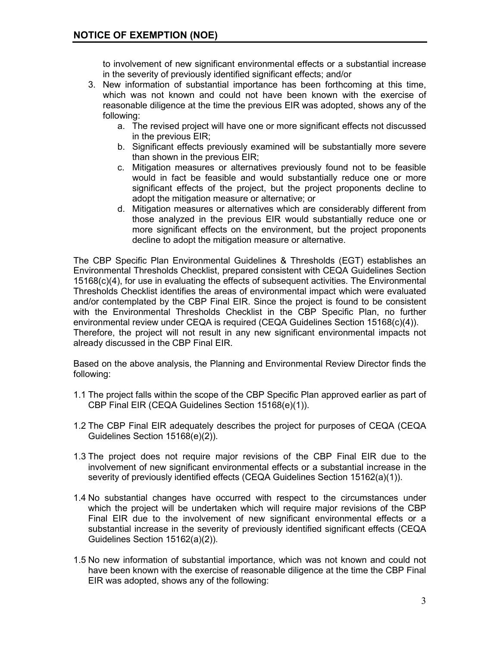to involvement of new significant environmental effects or a substantial increase in the severity of previously identified significant effects; and/or

- 3. New information of substantial importance has been forthcoming at this time, which was not known and could not have been known with the exercise of reasonable diligence at the time the previous EIR was adopted, shows any of the following:
	- a. The revised project will have one or more significant effects not discussed in the previous EIR;
	- b. Significant effects previously examined will be substantially more severe than shown in the previous EIR;
	- c. Mitigation measures or alternatives previously found not to be feasible would in fact be feasible and would substantially reduce one or more significant effects of the project, but the project proponents decline to adopt the mitigation measure or alternative; or
	- d. Mitigation measures or alternatives which are considerably different from those analyzed in the previous EIR would substantially reduce one or more significant effects on the environment, but the project proponents decline to adopt the mitigation measure or alternative.

The CBP Specific Plan Environmental Guidelines & Thresholds (EGT) establishes an Environmental Thresholds Checklist, prepared consistent with CEQA Guidelines Section 15168(c)(4), for use in evaluating the effects of subsequent activities. The Environmental Thresholds Checklist identifies the areas of environmental impact which were evaluated and/or contemplated by the CBP Final EIR. Since the project is found to be consistent with the Environmental Thresholds Checklist in the CBP Specific Plan, no further environmental review under CEQA is required (CEQA Guidelines Section 15168(c)(4)). Therefore, the project will not result in any new significant environmental impacts not already discussed in the CBP Final EIR.

Based on the above analysis, the Planning and Environmental Review Director finds the following:

- 1.1 The project falls within the scope of the CBP Specific Plan approved earlier as part of CBP Final EIR (CEQA Guidelines Section 15168(e)(1)).
- 1.2 The CBP Final EIR adequately describes the project for purposes of CEQA (CEQA Guidelines Section 15168(e)(2)).
- 1.3 The project does not require major revisions of the CBP Final EIR due to the involvement of new significant environmental effects or a substantial increase in the severity of previously identified effects (CEQA Guidelines Section 15162(a)(1)).
- 1.4 No substantial changes have occurred with respect to the circumstances under which the project will be undertaken which will require major revisions of the CBP Final EIR due to the involvement of new significant environmental effects or a substantial increase in the severity of previously identified significant effects (CEQA Guidelines Section 15162(a)(2)).
- 1.5 No new information of substantial importance, which was not known and could not have been known with the exercise of reasonable diligence at the time the CBP Final EIR was adopted, shows any of the following: